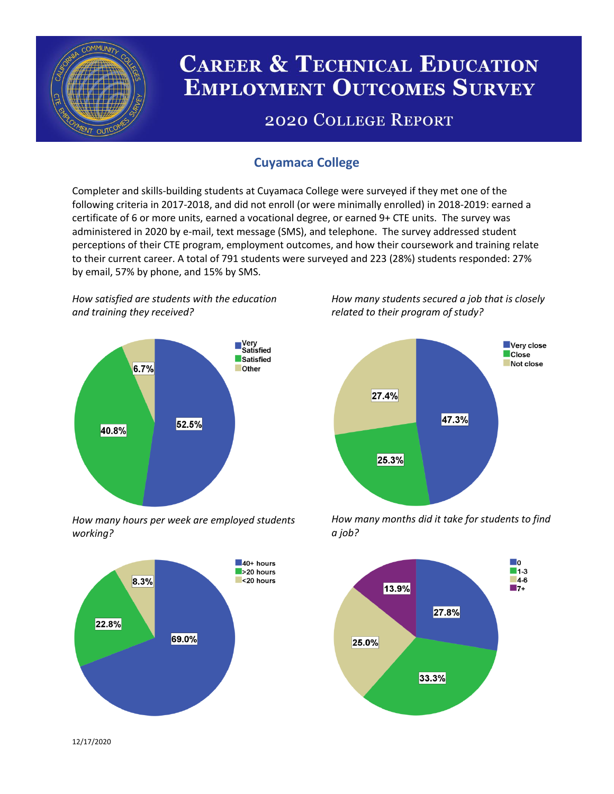

# **CAREER & TECHNICAL EDUCATION EMPLOYMENT OUTCOMES SURVEY**

## **2020 COLLEGE REPORT**

## **Cuyamaca College**

Completer and skills-building students at Cuyamaca College were surveyed if they met one of the following criteria in 2017-2018, and did not enroll (or were minimally enrolled) in 2018-2019: earned a certificate of 6 or more units, earned a vocational degree, or earned 9+ CTE units. The survey was administered in 2020 by e-mail, text message (SMS), and telephone. The survey addressed student perceptions of their CTE program, employment outcomes, and how their coursework and training relate to their current career. A total of 791 students were surveyed and 223 (28%) students responded: 27% by email, 57% by phone, and 15% by SMS.

*How satisfied are students with the education and training they received?*



*How many hours per week are employed students working?*



*How many students secured a job that is closely related to their program of study?*



*How many months did it take for students to find a job?*